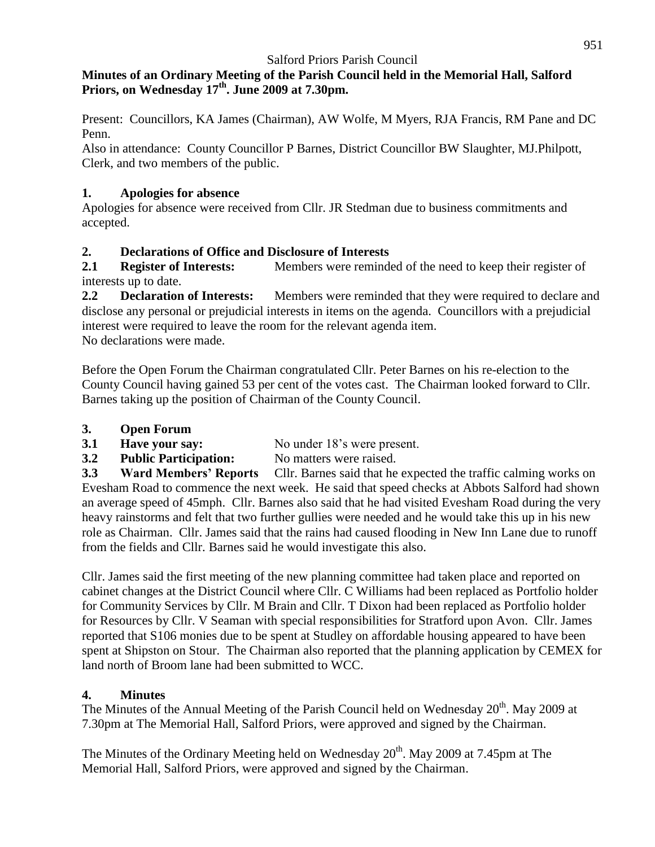#### **Minutes of an Ordinary Meeting of the Parish Council held in the Memorial Hall, Salford Priors, on Wednesday 17th. June 2009 at 7.30pm.**

Present: Councillors, KA James (Chairman), AW Wolfe, M Myers, RJA Francis, RM Pane and DC Penn.

Also in attendance: County Councillor P Barnes, District Councillor BW Slaughter, MJ.Philpott, Clerk, and two members of the public.

### **1. Apologies for absence**

Apologies for absence were received from Cllr. JR Stedman due to business commitments and accepted.

# **2. Declarations of Office and Disclosure of Interests**

**2.1 Register of Interests:** Members were reminded of the need to keep their register of interests up to date.

**2.2 Declaration of Interests:** Members were reminded that they were required to declare and disclose any personal or prejudicial interests in items on the agenda. Councillors with a prejudicial interest were required to leave the room for the relevant agenda item. No declarations were made.

Before the Open Forum the Chairman congratulated Cllr. Peter Barnes on his re-election to the County Council having gained 53 per cent of the votes cast. The Chairman looked forward to Cllr. Barnes taking up the position of Chairman of the County Council.

- **3. Open Forum**
- **3.1 Have your say:** No under 18's were present.
- **3.2 Public Participation:** No matters were raised.

**3.3 Ward Members' Reports** Cllr. Barnes said that he expected the traffic calming works on Evesham Road to commence the next week. He said that speed checks at Abbots Salford had shown an average speed of 45mph. Cllr. Barnes also said that he had visited Evesham Road during the very heavy rainstorms and felt that two further gullies were needed and he would take this up in his new role as Chairman. Cllr. James said that the rains had caused flooding in New Inn Lane due to runoff from the fields and Cllr. Barnes said he would investigate this also.

Cllr. James said the first meeting of the new planning committee had taken place and reported on cabinet changes at the District Council where Cllr. C Williams had been replaced as Portfolio holder for Community Services by Cllr. M Brain and Cllr. T Dixon had been replaced as Portfolio holder for Resources by Cllr. V Seaman with special responsibilities for Stratford upon Avon. Cllr. James reported that S106 monies due to be spent at Studley on affordable housing appeared to have been spent at Shipston on Stour. The Chairman also reported that the planning application by CEMEX for land north of Broom lane had been submitted to WCC.

# **4. Minutes**

The Minutes of the Annual Meeting of the Parish Council held on Wednesday 20<sup>th</sup>. May 2009 at 7.30pm at The Memorial Hall, Salford Priors, were approved and signed by the Chairman.

The Minutes of the Ordinary Meeting held on Wednesday  $20^{th}$ . May 2009 at 7.45pm at The Memorial Hall, Salford Priors, were approved and signed by the Chairman.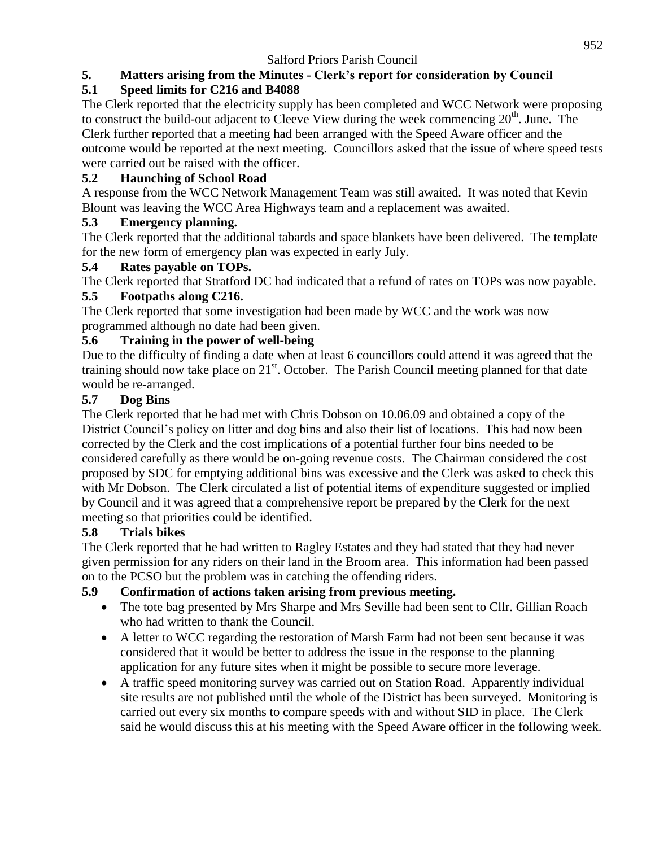# **5. Matters arising from the Minutes - Clerk's report for consideration by Council**

# **5.1 Speed limits for C216 and B4088**

The Clerk reported that the electricity supply has been completed and WCC Network were proposing to construct the build-out adjacent to Cleeve View during the week commencing  $20<sup>th</sup>$ . June. The Clerk further reported that a meeting had been arranged with the Speed Aware officer and the outcome would be reported at the next meeting. Councillors asked that the issue of where speed tests were carried out be raised with the officer.

### **5.2 Haunching of School Road**

A response from the WCC Network Management Team was still awaited. It was noted that Kevin Blount was leaving the WCC Area Highways team and a replacement was awaited.

### **5.3 Emergency planning.**

The Clerk reported that the additional tabards and space blankets have been delivered. The template for the new form of emergency plan was expected in early July.

### **5.4 Rates payable on TOPs.**

The Clerk reported that Stratford DC had indicated that a refund of rates on TOPs was now payable.

### **5.5 Footpaths along C216.**

The Clerk reported that some investigation had been made by WCC and the work was now programmed although no date had been given.

### **5.6 Training in the power of well-being**

Due to the difficulty of finding a date when at least 6 councillors could attend it was agreed that the training should now take place on  $21<sup>st</sup>$ . October. The Parish Council meeting planned for that date would be re-arranged.

### **5.7 Dog Bins**

The Clerk reported that he had met with Chris Dobson on 10.06.09 and obtained a copy of the District Council's policy on litter and dog bins and also their list of locations. This had now been corrected by the Clerk and the cost implications of a potential further four bins needed to be considered carefully as there would be on-going revenue costs. The Chairman considered the cost proposed by SDC for emptying additional bins was excessive and the Clerk was asked to check this with Mr Dobson. The Clerk circulated a list of potential items of expenditure suggested or implied by Council and it was agreed that a comprehensive report be prepared by the Clerk for the next meeting so that priorities could be identified.

#### **5.8 Trials bikes**

The Clerk reported that he had written to Ragley Estates and they had stated that they had never given permission for any riders on their land in the Broom area. This information had been passed on to the PCSO but the problem was in catching the offending riders.

# **5.9 Confirmation of actions taken arising from previous meeting.**

- The tote bag presented by Mrs Sharpe and Mrs Seville had been sent to Cllr. Gillian Roach who had written to thank the Council.
- A letter to WCC regarding the restoration of Marsh Farm had not been sent because it was considered that it would be better to address the issue in the response to the planning application for any future sites when it might be possible to secure more leverage.
- A traffic speed monitoring survey was carried out on Station Road. Apparently individual site results are not published until the whole of the District has been surveyed. Monitoring is carried out every six months to compare speeds with and without SID in place. The Clerk said he would discuss this at his meeting with the Speed Aware officer in the following week.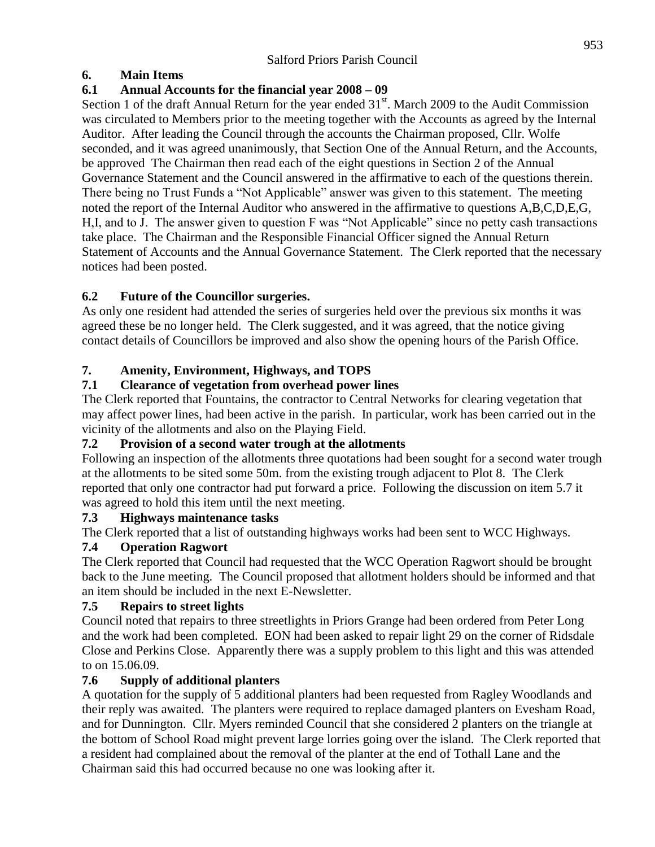### **6. Main Items**

# **6.1 Annual Accounts for the financial year 2008 – 09**

Section 1 of the draft Annual Return for the year ended 31<sup>st</sup>. March 2009 to the Audit Commission was circulated to Members prior to the meeting together with the Accounts as agreed by the Internal Auditor. After leading the Council through the accounts the Chairman proposed, Cllr. Wolfe seconded, and it was agreed unanimously, that Section One of the Annual Return, and the Accounts, be approved The Chairman then read each of the eight questions in Section 2 of the Annual Governance Statement and the Council answered in the affirmative to each of the questions therein. There being no Trust Funds a "Not Applicable" answer was given to this statement. The meeting noted the report of the Internal Auditor who answered in the affirmative to questions A,B,C,D,E,G, H,I, and to J. The answer given to question F was "Not Applicable" since no petty cash transactions take place. The Chairman and the Responsible Financial Officer signed the Annual Return Statement of Accounts and the Annual Governance Statement. The Clerk reported that the necessary notices had been posted.

# **6.2 Future of the Councillor surgeries.**

As only one resident had attended the series of surgeries held over the previous six months it was agreed these be no longer held. The Clerk suggested, and it was agreed, that the notice giving contact details of Councillors be improved and also show the opening hours of the Parish Office.

# **7. Amenity, Environment, Highways, and TOPS**

# **7.1 Clearance of vegetation from overhead power lines**

The Clerk reported that Fountains, the contractor to Central Networks for clearing vegetation that may affect power lines, had been active in the parish. In particular, work has been carried out in the vicinity of the allotments and also on the Playing Field.

# **7.2 Provision of a second water trough at the allotments**

Following an inspection of the allotments three quotations had been sought for a second water trough at the allotments to be sited some 50m. from the existing trough adjacent to Plot 8. The Clerk reported that only one contractor had put forward a price. Following the discussion on item 5.7 it was agreed to hold this item until the next meeting.

# **7.3 Highways maintenance tasks**

The Clerk reported that a list of outstanding highways works had been sent to WCC Highways.

# **7.4 Operation Ragwort**

The Clerk reported that Council had requested that the WCC Operation Ragwort should be brought back to the June meeting. The Council proposed that allotment holders should be informed and that an item should be included in the next E-Newsletter.

# **7.5 Repairs to street lights**

Council noted that repairs to three streetlights in Priors Grange had been ordered from Peter Long and the work had been completed. EON had been asked to repair light 29 on the corner of Ridsdale Close and Perkins Close. Apparently there was a supply problem to this light and this was attended to on 15.06.09.

# **7.6 Supply of additional planters**

A quotation for the supply of 5 additional planters had been requested from Ragley Woodlands and their reply was awaited. The planters were required to replace damaged planters on Evesham Road, and for Dunnington. Cllr. Myers reminded Council that she considered 2 planters on the triangle at the bottom of School Road might prevent large lorries going over the island. The Clerk reported that a resident had complained about the removal of the planter at the end of Tothall Lane and the Chairman said this had occurred because no one was looking after it.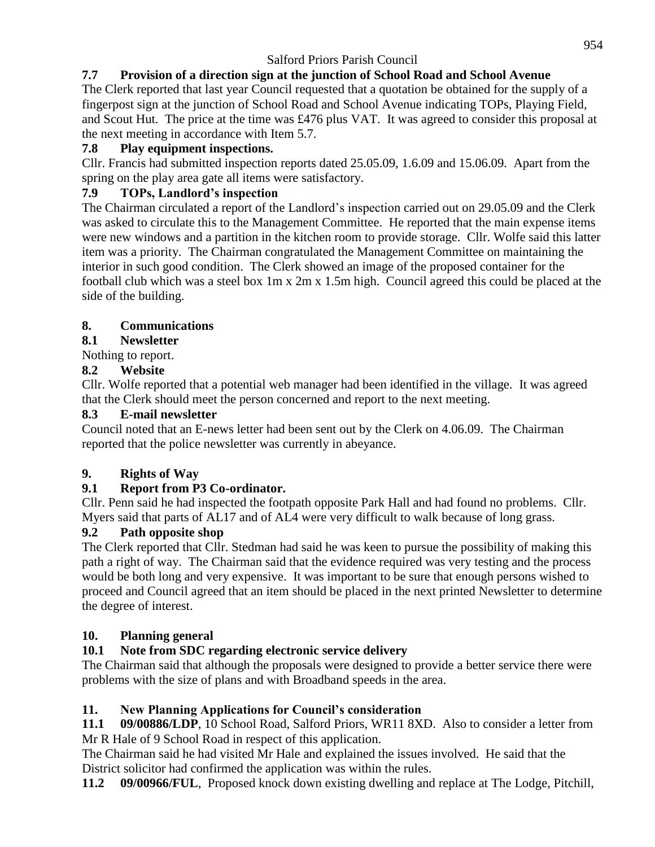# **7.7 Provision of a direction sign at the junction of School Road and School Avenue**

The Clerk reported that last year Council requested that a quotation be obtained for the supply of a fingerpost sign at the junction of School Road and School Avenue indicating TOPs, Playing Field, and Scout Hut. The price at the time was £476 plus VAT. It was agreed to consider this proposal at the next meeting in accordance with Item 5.7.

#### **7.8 Play equipment inspections.**

Cllr. Francis had submitted inspection reports dated 25.05.09, 1.6.09 and 15.06.09. Apart from the spring on the play area gate all items were satisfactory.

#### **7.9 TOPs, Landlord's inspection**

The Chairman circulated a report of the Landlord's inspection carried out on 29.05.09 and the Clerk was asked to circulate this to the Management Committee. He reported that the main expense items were new windows and a partition in the kitchen room to provide storage. Cllr. Wolfe said this latter item was a priority. The Chairman congratulated the Management Committee on maintaining the interior in such good condition. The Clerk showed an image of the proposed container for the football club which was a steel box 1m x 2m x 1.5m high. Council agreed this could be placed at the side of the building.

#### **8. Communications**

#### **8.1 Newsletter**

Nothing to report.

#### **8.2 Website**

Cllr. Wolfe reported that a potential web manager had been identified in the village. It was agreed that the Clerk should meet the person concerned and report to the next meeting.

#### **8.3 E-mail newsletter**

Council noted that an E-news letter had been sent out by the Clerk on 4.06.09. The Chairman reported that the police newsletter was currently in abeyance.

#### **9. Rights of Way**

#### **9.1 Report from P3 Co-ordinator.**

Cllr. Penn said he had inspected the footpath opposite Park Hall and had found no problems. Cllr. Myers said that parts of AL17 and of AL4 were very difficult to walk because of long grass.

#### **9.2 Path opposite shop**

The Clerk reported that Cllr. Stedman had said he was keen to pursue the possibility of making this path a right of way. The Chairman said that the evidence required was very testing and the process would be both long and very expensive. It was important to be sure that enough persons wished to proceed and Council agreed that an item should be placed in the next printed Newsletter to determine the degree of interest.

#### **10. Planning general**

#### **10.1 Note from SDC regarding electronic service delivery**

The Chairman said that although the proposals were designed to provide a better service there were problems with the size of plans and with Broadband speeds in the area.

#### **11. New Planning Applications for Council's consideration**

**11.1 09/00886/LDP**, 10 School Road, Salford Priors, WR11 8XD. Also to consider a letter from Mr R Hale of 9 School Road in respect of this application.

The Chairman said he had visited Mr Hale and explained the issues involved. He said that the District solicitor had confirmed the application was within the rules.

**11.2 09/00966/FUL**, Proposed knock down existing dwelling and replace at The Lodge, Pitchill,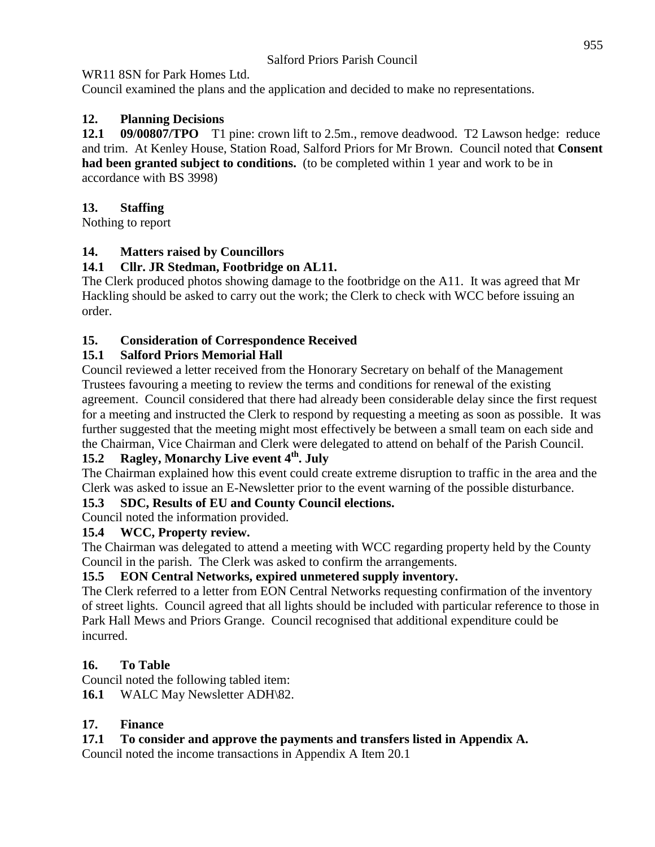### WR11 8SN for Park Homes Ltd.

Council examined the plans and the application and decided to make no representations.

# **12. Planning Decisions**

**12.1 09/00807/TPO** T1 pine: crown lift to 2.5m., remove deadwood. T2 Lawson hedge: reduce and trim. At Kenley House, Station Road, Salford Priors for Mr Brown. Council noted that **Consent had been granted subject to conditions.** (to be completed within 1 year and work to be in accordance with BS 3998)

### **13. Staffing**

Nothing to report

### **14. Matters raised by Councillors**

### **14.1 Cllr. JR Stedman, Footbridge on AL11.**

The Clerk produced photos showing damage to the footbridge on the A11. It was agreed that Mr Hackling should be asked to carry out the work; the Clerk to check with WCC before issuing an order.

### **15. Consideration of Correspondence Received**

### **15.1 Salford Priors Memorial Hall**

Council reviewed a letter received from the Honorary Secretary on behalf of the Management Trustees favouring a meeting to review the terms and conditions for renewal of the existing agreement. Council considered that there had already been considerable delay since the first request for a meeting and instructed the Clerk to respond by requesting a meeting as soon as possible. It was further suggested that the meeting might most effectively be between a small team on each side and the Chairman, Vice Chairman and Clerk were delegated to attend on behalf of the Parish Council.

# **15.2 Ragley, Monarchy Live event 4th. July**

The Chairman explained how this event could create extreme disruption to traffic in the area and the Clerk was asked to issue an E-Newsletter prior to the event warning of the possible disturbance.

#### **15.3 SDC, Results of EU and County Council elections.**

Council noted the information provided.

# **15.4 WCC, Property review.**

The Chairman was delegated to attend a meeting with WCC regarding property held by the County Council in the parish. The Clerk was asked to confirm the arrangements.

# **15.5 EON Central Networks, expired unmetered supply inventory.**

The Clerk referred to a letter from EON Central Networks requesting confirmation of the inventory of street lights. Council agreed that all lights should be included with particular reference to those in Park Hall Mews and Priors Grange. Council recognised that additional expenditure could be incurred.

# **16. To Table**

Council noted the following tabled item:

**16.1** WALC May Newsletter ADH\82.

# **17. Finance**

# **17.1 To consider and approve the payments and transfers listed in Appendix A.**

Council noted the income transactions in Appendix A Item 20.1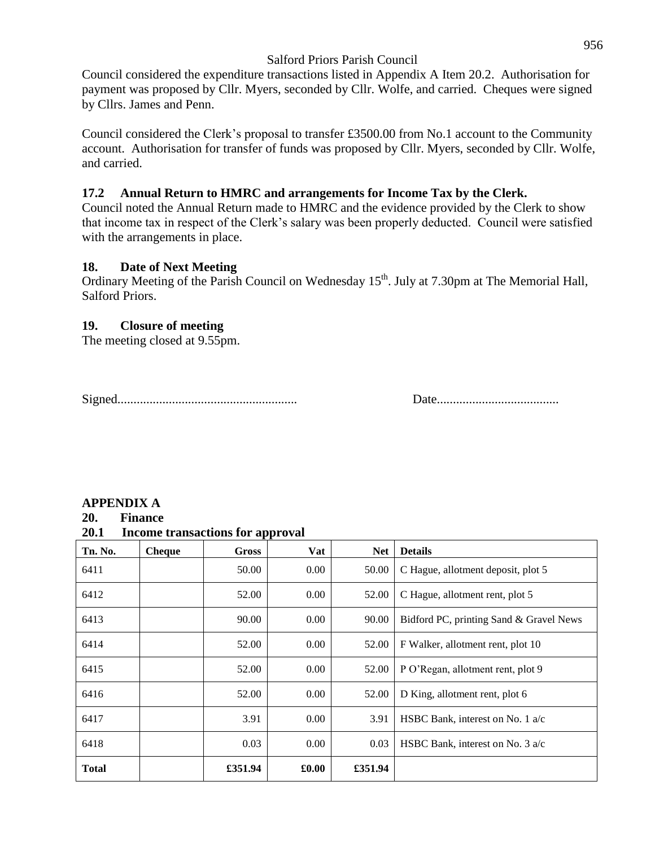Council considered the expenditure transactions listed in Appendix A Item 20.2. Authorisation for payment was proposed by Cllr. Myers, seconded by Cllr. Wolfe, and carried. Cheques were signed by Cllrs. James and Penn.

Council considered the Clerk's proposal to transfer £3500.00 from No.1 account to the Community account. Authorisation for transfer of funds was proposed by Cllr. Myers, seconded by Cllr. Wolfe, and carried.

#### **17.2 Annual Return to HMRC and arrangements for Income Tax by the Clerk.**

Council noted the Annual Return made to HMRC and the evidence provided by the Clerk to show that income tax in respect of the Clerk's salary was been properly deducted. Council were satisfied with the arrangements in place.

#### **18. Date of Next Meeting**

Ordinary Meeting of the Parish Council on Wednesday 15<sup>th</sup>. July at 7.30pm at The Memorial Hall, Salford Priors.

#### **19. Closure of meeting**

The meeting closed at 9.55pm.

Signed........................................................ Date......................................

#### **APPENDIX A**

#### **20. Finance**

**20.1 Income transactions for approval**

| Tn. No.      | <b>Cheque</b> | <b>Gross</b> | Vat   | <b>Net</b> | <b>Details</b>                             |
|--------------|---------------|--------------|-------|------------|--------------------------------------------|
| 6411         |               | 50.00        | 0.00  | 50.00      | C Hague, allotment deposit, plot 5         |
| 6412         |               | 52.00        | 0.00  | 52.00      | C Hague, allotment rent, plot 5            |
| 6413         |               | 90.00        | 0.00  | 90.00      | Bidford PC, printing Sand & Gravel News    |
| 6414         |               | 52.00        | 0.00  | 52.00      | F Walker, allotment rent, plot 10          |
| 6415         |               | 52.00        | 0.00  | 52.00      | P O'Regan, allotment rent, plot 9          |
| 6416         |               | 52.00        | 0.00  | 52.00      | D King, allotment rent, plot 6             |
| 6417         |               | 3.91         | 0.00  | 3.91       | HSBC Bank, interest on No. 1 $a/c$         |
| 6418         |               | 0.03         | 0.00  | 0.03       | HSBC Bank, interest on No. $3 \text{ a/c}$ |
| <b>Total</b> |               | £351.94      | £0.00 | £351.94    |                                            |